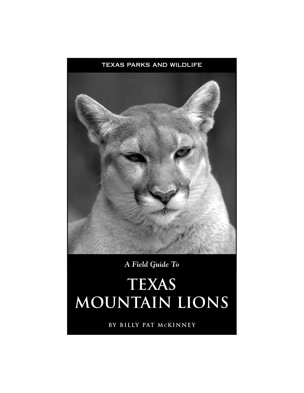

*A Field Guide To*

# **texas mountain lions**

**By billy pat mckinney**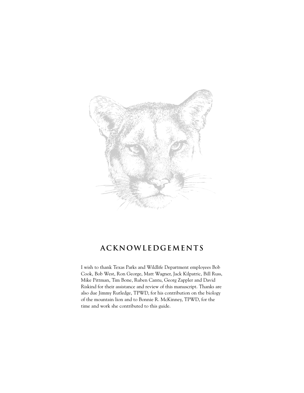

# **acknowledgements**

I wish to thank Texas Parks and Wildlife Department employees Bob Cook, Bob West, Ron George, Matt Wagner, Jack Kilpatric, Bill Russ, Mike Pittman, Tim Bone, Ruben Cantu, Georg Zappler and David Riskind for their assistance and review of this manuscript. Thanks are also due Jimmy Rutledge, TPWD, for his contribution on the biology of the mountain lion and to Bonnie R. McKinney, TPWD, for the time and work she contributed to this guide.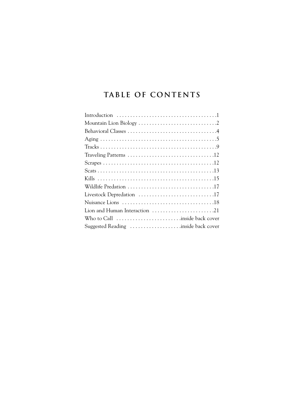# **table of contents**

| Livestock Depredation 17            |
|-------------------------------------|
|                                     |
| Lion and Human Interaction 21       |
|                                     |
| Suggested Reading inside back cover |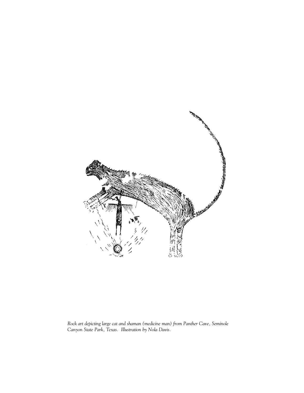

*Rock art depicting large cat and shaman (medicine man) from Panther Cave, Seminole Canyon State Park, Texas. Illustration by Nola Davis.*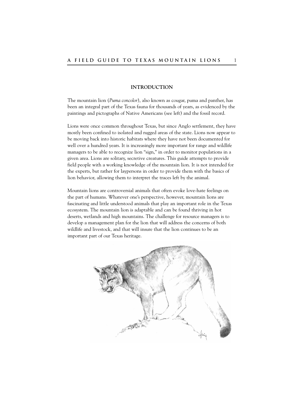# **INTRODUCTION**

The mountain lion (*Puma concolor*), also known as cougar, puma and panther, has been an integral part of the Texas fauna for thousands of years, as evidenced by the paintings and pictographs of Native Americans (see left) and the fossil record.

Lions were once common throughout Texas, but since Anglo settlement, they have mostly been confined to isolated and rugged areas of the state. Lions now appear to be moving back into historic habitats where they have not been documented for well over a hundred years. It is increasingly more important for range and wildlife managers to be able to recognize lion "sign," in order to monitor populations in a given area. Lions are solitary, secretive creatures. This guide attempts to provide field people with a working knowledge of the mountain lion. It is not intended for the experts, but rather for laypersons in order to provide them with the basics of lion behavior, allowing them to interpret the traces left by the animal.

Mountain lions are controversial animals that often evoke love-hate feelings on the part of humans. Whatever one's perspective, however, mountain lions are fascinating and little understood animals that play an important role in the Texas ecosystem. The mountain lion is adaptable and can be found thriving in hot deserts, wetlands and high mountains. The challenge for resource managers is to develop a management plan for the lion that will address the concerns of both wildlife and livestock, and that will insure that the lion continues to be an important part of our Texas heritage.

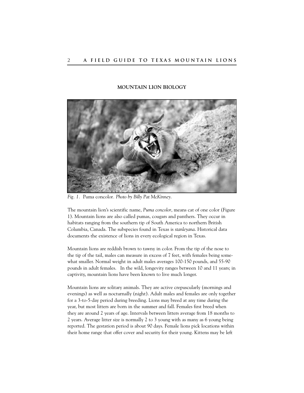# **MOUNTAIN LION BIOLOGY**



*Fig. 1.* Puma concolor*. Photo by Billy Pat McKinney.*

The mountain lion's scientific name, *Puma concolor*, means cat of one color (Figure 1). Mountain lions are also called pumas, cougars and panthers. They occur in habitats ranging from the southern tip of South America to northern British Columbia, Canada. The subspecies found in Texas is *stanleyana*. Historical data documents the existence of lions in every ecological region in Texas.

Mountain lions are reddish brown to tawny in color. From the tip of the nose to the tip of the tail, males can measure in excess of 7 feet, with females being somewhat smaller. Normal weight in adult males averages 100-150 pounds, and 55-90 pounds in adult females. In the wild, longevity ranges between 10 and 11 years; in captivity, mountain lions have been known to live much longer.

Mountain lions are solitary animals. They are active crepuscularly (mornings and evenings) as well as nocturnally (night). Adult males and females are only together for a 3-to-5-day period during breeding. Lions may breed at any time during the year, but most litters are born in the summer and fall. Females first breed when they are around 2 years of age. Intervals between litters average from 18 months to 2 years. Average litter size is normally 2 to 3 young with as many as 6 young being reported. The gestation period is about 90 days. Female lions pick locations within their home range that offer cover and security for their young. Kittens may be left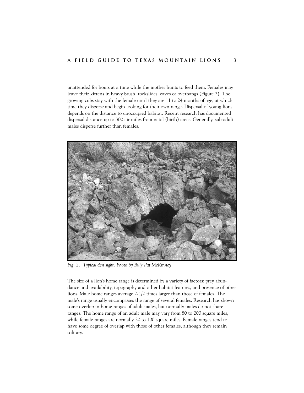unattended for hours at a time while the mother hunts to feed them. Females may leave their kittens in heavy brush, rockslides, caves or overhangs (Figure 2). The growing cubs stay with the female until they are 11 to 24 months of age, at which time they disperse and begin looking for their own range. Dispersal of young lions depends on the distance to unoccupied habitat. Recent research has documented dispersal distance up to 300 air miles from natal (birth) areas. Generally, sub-adult males disperse further than females.



*Fig. 2. Typical den sight. Photo by Billy Pat McKinney.*

The size of a lion's home range is determined by a variety of factors: prey abundance and availability, topography and other habitat features, and presence of other lions. Male home ranges average 2-1/2 times larger than those of females. The male's range usually encompasses the range of several females. Research has shown some overlap in home ranges of adult males, but normally males do not share ranges. The home range of an adult male may vary from 80 to 200 square miles, while female ranges are normally 20 to 100 square miles. Female ranges tend to have some degree of overlap with those of other females, although they remain solitary.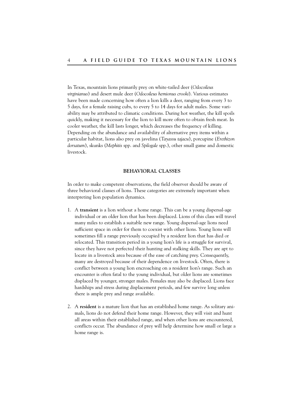In Texas, mountain lions primarily prey on white-tailed deer (*Odocoileus virginianus*) and desert mule deer (*Odocoileus hemionus crooki*). Various estimates have been made concerning how often a lion kills a deer, ranging from every 3 to 5 days, for a female raising cubs, to every 5 to 14 days for adult males. Some variability may be attributed to climatic conditions. During hot weather, the kill spoils quickly, making it necessary for the lion to kill more often to obtain fresh meat. In cooler weather, the kill lasts longer, which decreases the frequency of killing. Depending on the abundance and availability of alternative prey items within a particular habitat, lions also prey on javelina (*Tayassu tajacu*), porcupine (*Erethizon dorsatum*), skunks (*Mephitis* spp. and *Spilogale* spp.), other small game and domestic livestock.

#### **BEHAVIORAL CLASSES**

In order to make competent observations, the field observer should be aware of three behavioral classes of lions. These categories are extremely important when interpreting lion population dynamics.

- 1. A **transient** is a lion without a home range. This can be a young dispersal-age individual or an older lion that has been displaced. Lions of this class will travel many miles to establish a suitable new range. Young dispersal-age lions need sufficient space in order for them to coexist with other lions. Young lions will sometimes fill a range previously occupied by a resident lion that has died or relocated. This transition period in a young lion's life is a struggle for survival, since they have not perfected their hunting and stalking skills. They are apt to locate in a livestock area because of the ease of catching prey. Consequently, many are destroyed because of their dependence on livestock. Often, there is conflict between a young lion encroaching on a resident lion's range. Such an encounter is often fatal to the young individual, but older lions are sometimes displaced by younger, stronger males. Females may also be displaced. Lions face hardships and stress during displacement periods, and few survive long unless there is ample prey and range available.
- 2. A **resident** is a mature lion that has an established home range. As solitary animals, lions do not defend their home range. However, they will visit and hunt all areas within their established range, and when other lions are encountered, conflicts occur. The abundance of prey will help determine how small or large a home range is.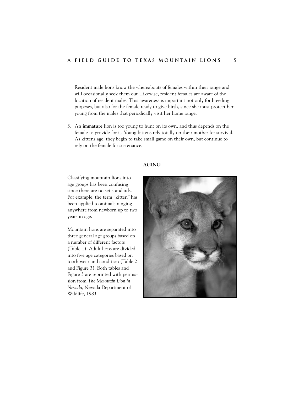Resident male lions know the whereabouts of females within their range and will occasionally seek them out. Likewise, resident females are aware of the location of resident males. This awareness is important not only for breeding purposes, but also for the female ready to give birth, since she must protect her young from the males that periodically visit her home range.

3. An **immature** lion is too young to hunt on its own, and thus depends on the female to provide for it. Young kittens rely totally on their mother for survival. As kittens age, they begin to take small game on their own, but continue to rely on the female for sustenance.

### **AGING**

Classifying mountain lions into age groups has been confusing since there are no set standards. For example, the term "kitten" has been applied to animals ranging anywhere from newborn up to two years in age.

Mountain lions are separated into three general age groups based on a number of different factors (Table 1). Adult lions are divided into five age categories based on tooth wear and condition (Table 2 and Figure 3). Both tables and Figure 3 are reprinted with permission from *The Mountain Lion in Nevada*, Nevada Department of Wildlife, 1983.

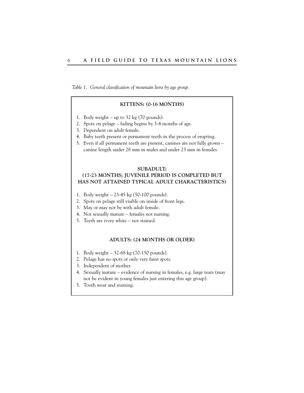*Table 1. General classification of mountain lions by age group.* 

### **KITTENS: (0-16 MONTHS)**

- 1. Body weight up to 32 kg (70 pounds).
- 2. Spots on pelage fading begins by 3-4 months of age.
- 3. Dependent on adult female.
- 4. Baby teeth present or permanent teeth in the process of erupting.
- 5. Even if all permanent teeth are present, canines are not fully grown canine length under 28 mm in males and under 23 mm in females.

#### **SUBADULT:**

# **(17-23 MONTHS; JUVENILE PERIOD IS COMPLETED BUT HAS NOT ATTAINED TYPICAL ADULT CHARACTERISTICS)**

- 1. Body weight 23-45 kg (50-100 pounds).
- 2. Spots on pelage still visible on inside of front legs.
- 3. May or may not be with adult female.
- 4. Not sexually mature females not nursing.
- 5. Teeth are ivory white not stained.

#### **ADULTS: (24 MONTHS OR OLDER)**

- 1. Body weight 32-68 kg (70-150 pounds).
- 2. Pelage has no spots or only very faint spots.
- 3. Independent of mother.
- 4. Sexually mature evidence of nursing in females, e.g. large teats (may not be evident in young females just entering this age group).
- 5. Tooth wear and staining.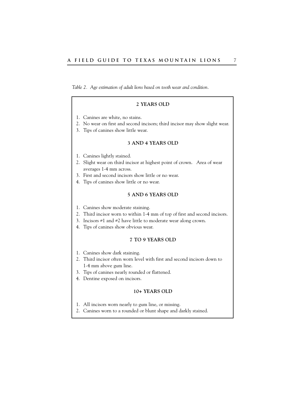*Table 2. Age estimation of adult lions based on tooth wear and condition.* 

# **2 YEARS OLD**

- 1. Canines are white, no stains.
- 2. No wear on first and second incisors; third incisor may show slight wear.
- 3. Tips of canines show little wear.

#### **3 AND 4 YEARS OLD**

- 1. Canines lightly stained.
- 2. Slight wear on third incisor at highest point of crown. Area of wear averages 1-4 mm across.
- 3. First and second incisors show little or no wear.
- 4. Tips of canines show little or no wear.

# **5 AND 6 YEARS OLD**

- 1. Canines show moderate staining.
- 2. Third incisor worn to within 1-4 mm of top of first and second incisors.
- 3. Incisors #1 and #2 have little to moderate wear along crown.
- 4. Tips of canines show obvious wear.

#### **7 TO 9 YEARS OLD**

- 1. Canines show dark staining.
- 2. Third incisor often worn level with first and second incisors down to 1-4 mm above gum line.
- 3. Tips of canines nearly rounded or flattened.
- 4. Dentine exposed on incisors.

#### **10+ YEARS OLD**

- 1. All incisors worn nearly to gum line, or missing.
- 2. Canines worn to a rounded or blunt shape and darkly stained.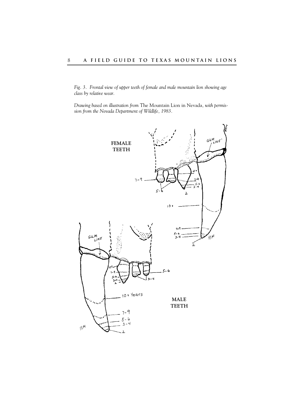*Fig. 3. Frontal view of upper teeth of female and male mountain lion showing age class by relative wear.* 

*Drawing based on illustration from* The Mountain Lion in Nevada*, with permission from the Nevada Department of Wildlife, 1983.*

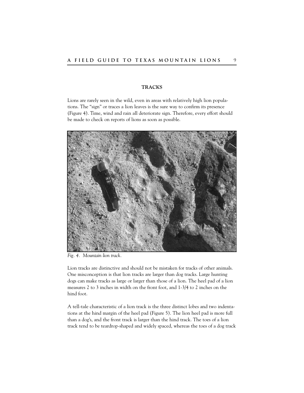# **TRACKS**

Lions are rarely seen in the wild, even in areas with relatively high lion populations. The "sign" or traces a lion leaves is the sure way to confirm its presence (Figure 4). Time, wind and rain all deteriorate sign. Therefore, every effort should be made to check on reports of lions as soon as possible.



*Fig. 4. Mountain lion track.*

Lion tracks are distinctive and should not be mistaken for tracks of other animals. One misconception is that lion tracks are larger than dog tracks. Large hunting dogs can make tracks as large or larger than those of a lion. The heel pad of a lion measures 2 to 3 inches in width on the front foot, and 1-3/4 to 2 inches on the hind foot.

A tell-tale characteristic of a lion track is the three distinct lobes and two indentations at the hind margin of the heel pad (Figure 5). The lion heel pad is more full than a dog's, and the front track is larger than the hind track. The toes of a lion track tend to be teardrop-shaped and widely spaced, whereas the toes of a dog track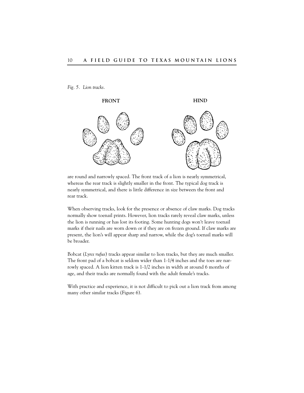*Fig. 5. Lion tracks.*



are round and narrowly spaced. The front track of a lion is nearly symmetrical, whereas the rear track is slightly smaller in the front. The typical dog track is nearly symmetrical, and there is little difference in size between the front and rear track.

When observing tracks, look for the presence or absence of claw marks. Dog tracks normally show toenail prints. However, lion tracks rarely reveal claw marks, unless the lion is running or has lost its footing. Some hunting dogs won't leave toenail marks if their nails are worn down or if they are on frozen ground. If claw marks are present, the lion's will appear sharp and narrow, while the dog's toenail marks will be broader.

Bobcat (*Lynx rufus*) tracks appear similar to lion tracks, but they are much smaller. The front pad of a bobcat is seldom wider than 1-1/4 inches and the toes are narrowly spaced. A lion kitten track is 1-1/2 inches in width at around 6 months of age, and their tracks are normally found with the adult female's tracks.

With practice and experience, it is not difficult to pick out a lion track from among many other similar tracks (Figure 6).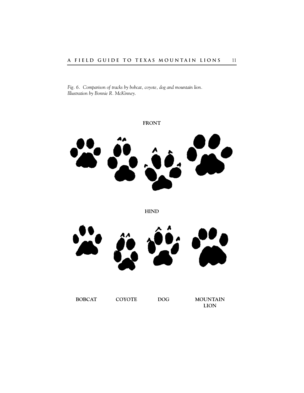*Fig. 6. Comparison of tracks by bobcat, coyote, dog and mountain lion. Illustration by Bonnie R. McKinney.*



**LION**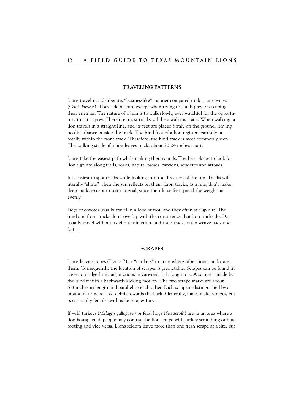# **TRAVELING PATTERNS**

Lions travel in a deliberate, "businesslike" manner compared to dogs or coyotes (*Canis latrans*). They seldom run, except when trying to catch prey or escaping their enemies. The nature of a lion is to walk slowly, ever watchful for the opportunity to catch prey. Therefore, most tracks will be a walking track. When walking, a lion travels in a straight line, and its feet are placed firmly on the ground, leaving no disturbance outside the track. The hind foot of a lion registers partially or totally within the front track. Therefore, the hind track is most commonly seen. The walking stride of a lion leaves tracks about 20-24 inches apart.

Lions take the easiest path while making their rounds. The best places to look for lion sign are along trails, roads, natural passes, canyons, senderos and arroyos.

It is easiest to spot tracks while looking into the direction of the sun. Tracks will literally "shine" when the sun reflects on them. Lion tracks, as a rule, don't make deep marks except in soft material, since their large feet spread the weight out evenly.

Dogs or coyotes usually travel in a lope or trot, and they often stir up dirt. The hind and front tracks don't overlap with the consistency that lion tracks do. Dogs usually travel without a definite direction, and their tracks often weave back and forth.

#### **SCRAPES**

Lions leave scrapes (Figure 7) or "markers" in areas where other lions can locate them. Consequently, the location of scrapes is predictable. Scrapes can be found in caves, on ridge-lines, at junctions in canyons and along trails. A scrape is made by the hind feet in a backwards kicking motion. The two scrape marks are about 6-8 inches in length and parallel to each other. Each scrape is distinguished by a mound of urine-soaked debris towards the back. Generally, males make scrapes, but occasionally females will make scrapes too.

If wild turkeys (*Melagris gallopavo*) or feral hogs (*Sus scrofa*) are in an area where a lion is suspected, people may confuse the lion scrape with turkey scratching or hog rooting and vice versa. Lions seldom leave more than one fresh scrape at a site, but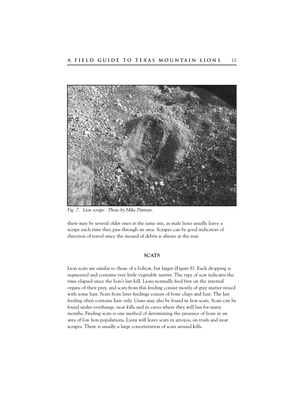

*Fig. 7. Lion scrape. Photo by Mike Pittman.*

there may be several older ones at the same site, as male lions usually leave a scrape each time they pass through an area. Scrapes can be good indicators of direction of travel since the mound of debris is always at the rear.

#### **SCATS**

Lion scats are similar to those of a bobcat, but larger (Figure 8). Each dropping is segmented and contains very little vegetable matter. The type of scat indicates the time elapsed since the lion's last kill. Lions normally feed first on the internal organs of their prey, and scats from this feeding consist mostly of gray matter mixed with some hair. Scats from later feedings consist of bone chips and hair. The last feeding often contains hair only. Grass may also be found in lion scats. Scats can be found under overhangs, near kills and in caves where they will last for many months. Finding scats is one method of determining the presence of lions in an area of low lion populations. Lions will leave scats in arroyos, on trails and near scrapes. There is usually a large concentration of scats around kills.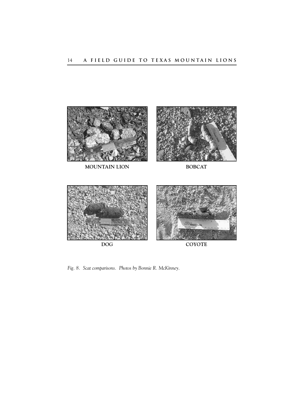

**MOUNTAIN LION BOBCAT**



*Fig. 8. Scat comparisons. Photos by Bonnie R. McKinney.*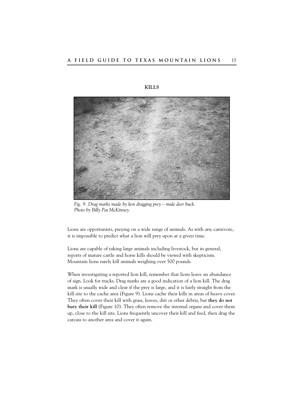

**KILLS**

*Fig. 9. Drag marks made by lion dragging prey – mule deer buck. Photo by Billy Pat McKinney.*

Lions are opportunists, preying on a wide range of animals. As with any carnivore, it is impossible to predict what a lion will prey upon at a given time.

Lions are capable of taking large animals including livestock, but in general, reports of mature cattle and horse kills should be viewed with skepticism. Mountain lions rarely kill animals weighing over 500 pounds.

When investigating a reported lion kill, remember that lions leave an abundance of sign. Look for tracks. Drag marks are a good indication of a lion kill. The drag mark is usually wide and clear if the prey is large, and it is fairly straight from the kill site to the cache area (Figure 9). Lions cache their kills in areas of heavy cover. They often cover their kill with grass, leaves, dirt or other debris, but **they do not bury their kill** (Figure 10). They often remove the internal organs and cover them up, close to the kill site. Lions frequently uncover their kill and feed, then drag the carcass to another area and cover it again.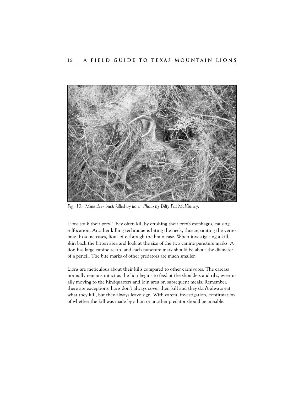

*Fig. 10. Mule deer buck killed by lion. Photo by Billy Pat McKinney.*

Lions stalk their prey. They often kill by crushing their prey's esophagus, causing suffocation. Another killing technique is biting the neck, thus separating the vertebrae. In some cases, lions bite through the brain case. When investigating a kill, skin back the bitten area and look at the size of the two canine puncture marks. A lion has large canine teeth, and each puncture mark should be about the diameter of a pencil. The bite marks of other predators are much smaller.

Lions are meticulous about their kills compared to other carnivores. The carcass normally remains intact as the lion begins to feed at the shoulders and ribs, eventually moving to the hindquarters and loin area on subsequent meals. Remember, there are exceptions: lions don't always cover their kill and they don't always eat what they kill, but they always leave sign. With careful investigation, confirmation of whether the kill was made by a lion or another predator should be possible.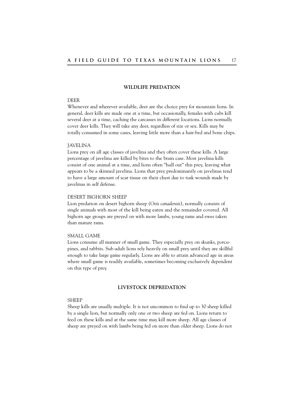# **WILDLIFE PREDATION**

#### DEER

Whenever and wherever available, deer are the choice prey for mountain lions. In general, deer kills are made one at a time, but occasionally, females with cubs kill several deer at a time, caching the carcasses in different locations. Lions normally cover deer kills. They will take any deer, regardless of size or sex. Kills may be totally consumed in some cases, leaving little more than a hair-bed and bone chips.

#### JAVELINA

Lions prey on all age classes of javelina and they often cover these kills. A large percentage of javelina are killed by bites to the brain case. Most javelina kills consist of one animal at a time, and lions often "hull out" this prey, leaving what appears to be a skinned javelina. Lions that prey predominantly on javelinas tend to have a large amount of scar tissue on their chest due to tusk wounds made by javelinas in self defense.

#### DESERT BIGHORN SHEEP

Lion predation on desert bighorn sheep (*Ovis canadensis*), normally consists of single animals with most of the kill being eaten and the remainder covered. All bighorn age groups are preyed on with more lambs, young rams and ewes taken than mature rams.

#### SMALL GAME

Lions consume all manner of small game. They especially prey on skunks, porcupines, and rabbits. Sub-adult lions rely heavily on small prey until they are skillful enough to take large game regularly. Lions are able to attain advanced age in areas where small game is readily available, sometimes becoming exclusively dependent on this type of prey.

#### **LIVESTOCK DEPREDATION**

#### **SHEEP**

Sheep kills are usually multiple. It is not uncommon to find up to 30 sheep killed by a single lion, but normally only one or two sheep are fed on. Lions return to feed on these kills and at the same time may kill more sheep. All age classes of sheep are preyed on with lambs being fed on more than older sheep. Lions do not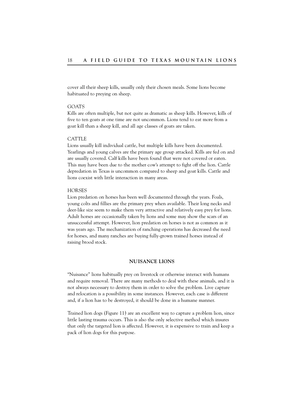cover all their sheep kills, usually only their chosen meals. Some lions become habituated to preying on sheep.

#### GOATS

Kills are often multiple, but not quite as dramatic as sheep kills. However, kills of five to ten goats at one time are not uncommon. Lions tend to eat more from a goat kill than a sheep kill, and all age classes of goats are taken.

#### CATTLE

Lions usually kill individual cattle, but multiple kills have been documented. Yearlings and young calves are the primary age group attacked. Kills are fed on and are usually covered. Calf kills have been found that were not covered or eaten. This may have been due to the mother cow's attempt to fight off the lion. Cattle depredation in Texas is uncommon compared to sheep and goat kills. Cattle and lions coexist with little interaction in many areas.

#### HORSES

Lion predation on horses has been well documented through the years. Foals, young colts and fillies are the primary prey when available. Their long necks and deer-like size seem to make them very attractive and relatively easy prey for lions. Adult horses are occasionally taken by lions and some may show the scars of an unsuccessful attempt. However, lion predation on horses is not as common as it was years ago. The mechanization of ranching operations has decreased the need for horses, and many ranches are buying fully-grown trained horses instead of raising brood stock.

#### **NUISANCE LIONS**

"Nuisance" lions habitually prey on livestock or otherwise interact with humans and require removal. There are many methods to deal with these animals, and it is not always necessary to destroy them in order to solve the problem. Live capture and relocation is a possibility in some instances. However, each case is different and, if a lion has to be destroyed, it should be done in a humane manner.

Trained lion dogs (Figure 11) are an excellent way to capture a problem lion, since little lasting trauma occurs. This is also the only selective method which insures that only the targeted lion is affected. However, it is expensive to train and keep a pack of lion dogs for this purpose.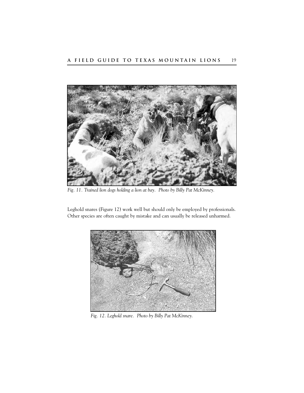

*Fig. 11. Trained lion dogs holding a lion at bay. Photo by Billy Pat McKinney.*

Leghold snares (Figure 12) work well but should only be employed by professionals. Other species are often caught by mistake and can usually be released unharmed.



*Fig. 12. Leghold snare. Photo by Billy Pat McKinney.*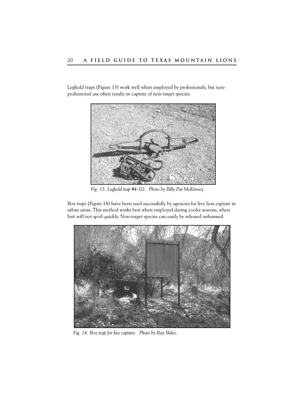Leghold traps (Figure 13) work well when employed by professionals, but nonprofessional use often results in capture of non-target species.



*Fig. 13. Leghold trap #4-1/2. Photo by Billy Pat McKinney.*

Box traps (Figure 14) have been used successfully by agencies for live lion capture in urban areas. This method works best when employed during cooler seasons, when bait will not spoil quickly. Non-target species can easily be released unharmed.



*Fig. 14. Box trap for live capture. Photo by Ray Skiles.*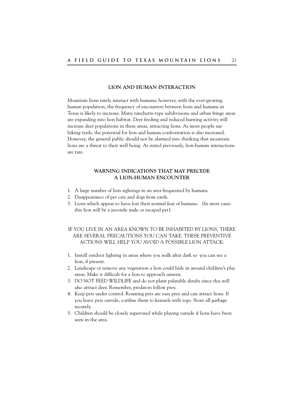#### **LION AND HUMAN INTERACTION**

Mountain lions rarely interact with humans; however, with the ever-growing human population, the frequency of encounters between lions and humans in Texas is likely to increase. Many ranchette-type subdivisions and urban fringe areas are expanding into lion habitat. Deer feeding and reduced hunting activity will increase deer populations in these areas, attracting lions. As more people use hiking trails, the potential for lion and human confrontation is also increased. However, the general public should not be alarmed into thinking that mountain lions are a threat to their well being. As stated previously, lion-human interactions are rare.

# **WARNING INDICATIONS THAT MAY PRECEDE A LION-HUMAN ENCOUNTER**

- 1. A large number of lion sightings in an area frequented by humans.
- 2. Disappearance of pet cats and dogs from yards.
- 3. Lions which appear to have lost their normal fear of humans. (In most cases this lion will be a juvenile male or escaped pet).

IF YOU LIVE IN AN AREA KNOWN TO BE INHABITED BY LIONS, THERE ARE SEVERAL PRECAUTIONS YOU CAN TAKE. THESE PREVENTIVE ACTIONS WILL HELP YOU AVOID A POSSIBLE LION ATTACK:

- 1. Install outdoor lighting in areas where you walk after dark so you can see a lion, if present.
- 2. Landscape or remove any vegetation a lion could hide in around children's play areas. Make it difficult for a lion to approach unseen.
- 3. DO NOT FEED WILDLIFE and do not plant palatable shrubs since this will also attract deer. Remember, predators follow prey.
- 4. Keep pets under control. Roaming pets are easy prey and can attract lions. If you leave pets outside, confine them to kennels with tops. Store all garbage securely.
- 5. Children should be closely supervised while playing outside if lions have been seen in the area.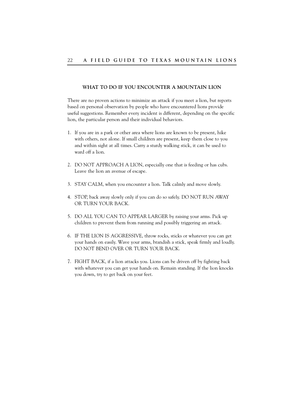### **WHAT TO DO IF YOU ENCOUNTER A MOUNTAIN LION**

There are no proven actions to minimize an attack if you meet a lion, but reports based on personal observation by people who have encountered lions provide useful suggestions. Remember every incident is different, depending on the specific lion, the particular person and their individual behaviors.

- 1. If you are in a park or other area where lions are known to be present, hike with others, not alone. If small children are present, keep them close to you and within sight at all times. Carry a sturdy walking stick, it can be used to ward off a lion.
- 2. DO NOT APPROACH A LION, especially one that is feeding or has cubs. Leave the lion an avenue of escape.
- 3. STAY CALM, when you encounter a lion. Talk calmly and move slowly.
- 4. STOP, back away slowly only if you can do so safely. DO NOT RUN AWAY OR TURN YOUR BACK.
- 5. DO ALL YOU CAN TO APPEAR LARGER by raising your arms. Pick up children to prevent them from running and possibly triggering an attack.
- 6. IF THE LION IS AGGRESSIVE, throw rocks, sticks or whatever you can get your hands on easily. Wave your arms, brandish a stick, speak firmly and loudly. DO NOT BEND OVER OR TURN YOUR BACK.
- 7. FIGHT BACK, if a lion attacks you. Lions can be driven off by fighting back with whatever you can get your hands on. Remain standing. If the lion knocks you down, try to get back on your feet.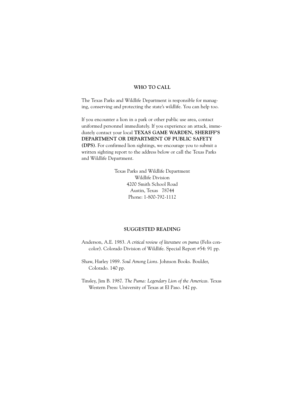# **WHO TO CALL**

The Texas Parks and Wildlife Department is responsible for managing, conserving and protecting the state's wildlife. You can help too.

If you encounter a lion in a park or other public use area, contact uniformed personnel immediately. If you experience an attack, immediately contact your local **TEXAS GAME WARDEN, SHERIFF'S DEPARTMENT OR DEPARTMENT OF PUBLIC SAFETY (DPS)**. For confirmed lion sightings, we encourage you to submit a written sighting report to the address below or call the Texas Parks and Wildlife Department.

> Texas Parks and Wildlife Department Wildlife Division 4200 Smith School Road Austin, Texas 78744 Phone: 1-800-792-1112

#### **SUGGESTED READING**

- Anderson, A.E. 1983. *A critical review of literature on puma* (Felis concolor). Colorado Division of Wildlife. Special Report #54: 91 pp.
- Shaw, Harley 1989. *Soul Among Lions*. Johnson Books. Boulder, Colorado. 140 pp.
- Tinsley, Jim B. 1987. *The Puma: Legendary Lion of the Americas*. Texas Western Press: University of Texas at El Paso. 142 pp.